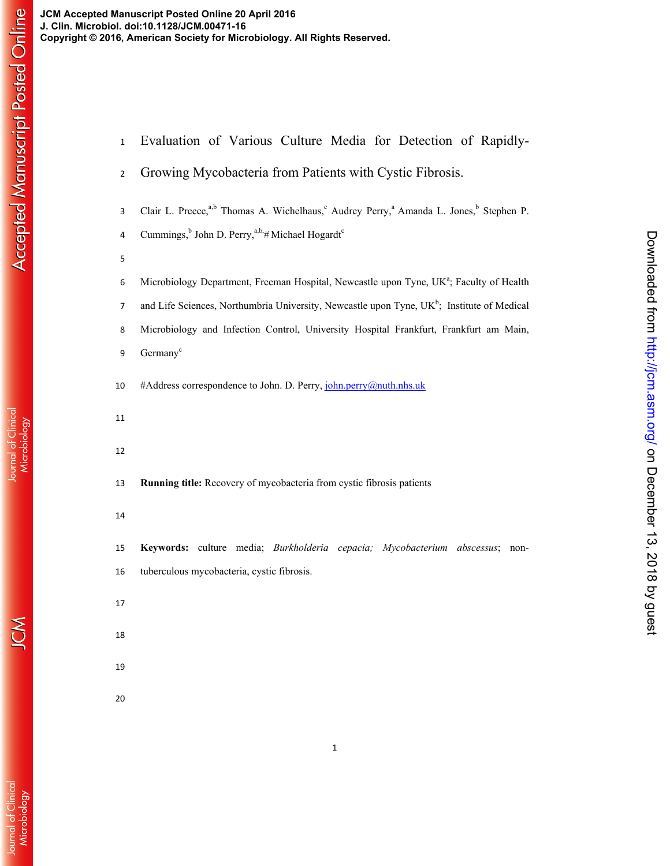| $\mathbf 1$    | Evaluation of Various Culture Media for Detection of Rapidly-                                                                          |
|----------------|----------------------------------------------------------------------------------------------------------------------------------------|
| $\overline{2}$ | Growing Mycobacteria from Patients with Cystic Fibrosis.                                                                               |
| 3              | Clair L. Preece, <sup>a,b</sup> Thomas A. Wichelhaus, <sup>c</sup> Audrey Perry, <sup>a</sup> Amanda L. Jones, <sup>b</sup> Stephen P. |
| 4              | Cummings, <sup>b</sup> John D. Perry, <sup>a,b,<math>#</math></sup> Michael Hogardt <sup>c</sup>                                       |
| 5              |                                                                                                                                        |
| 6              | Microbiology Department, Freeman Hospital, Newcastle upon Tyne, UK <sup>a</sup> ; Faculty of Health                                    |
| 7              | and Life Sciences, Northumbria University, Newcastle upon Tyne, UK <sup>b</sup> ; Institute of Medical                                 |
| 8              | Microbiology and Infection Control, University Hospital Frankfurt, Frankfurt am Main,                                                  |
| 9              | Germany <sup>c</sup>                                                                                                                   |
| 10             | #Address correspondence to John. D. Perry, john.perry@nuth.nhs.uk                                                                      |
| 11             |                                                                                                                                        |
| 12             |                                                                                                                                        |
| 13             | Running title: Recovery of mycobacteria from cystic fibrosis patients                                                                  |
| 14             |                                                                                                                                        |
| 15             | Keywords: culture media; Burkholderia cepacia; Mycobacterium abscessus;<br>non-                                                        |
| 16             | tuberculous mycobacteria, cystic fibrosis.                                                                                             |
| 17             |                                                                                                                                        |
| 18             |                                                                                                                                        |
| 19             |                                                                                                                                        |
| 20             |                                                                                                                                        |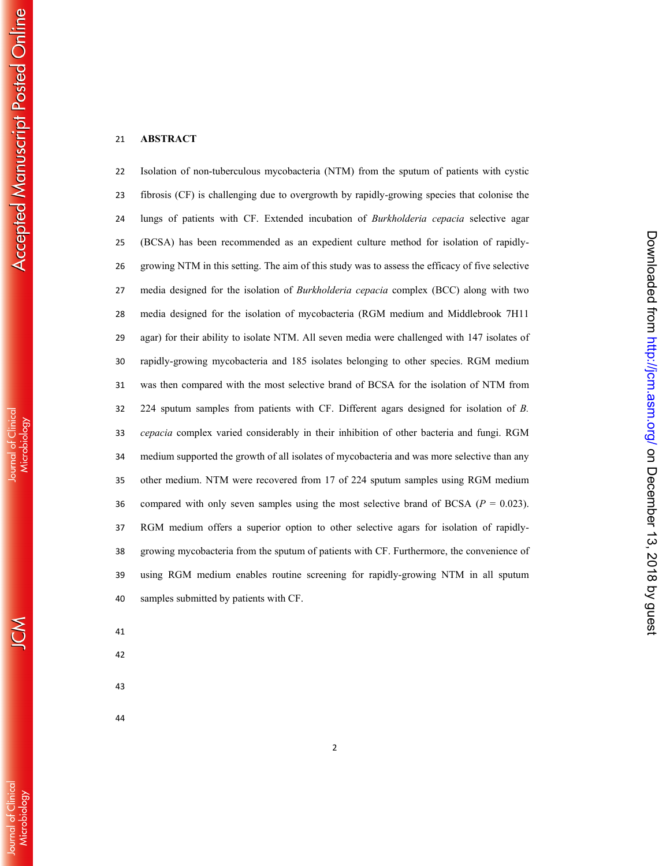## **ABSTRACT**

Isolation of non-tuberculous mycobacteria (NTM) from the sputum of patients with cystic fibrosis (CF) is challenging due to overgrowth by rapidly-growing species that colonise the lungs of patients with CF. Extended incubation of *Burkholderia cepacia* selective agar (BCSA) has been recommended as an expedient culture method for isolation of rapidly-growing NTM in this setting. The aim of this study was to assess the efficacy of five selective media designed for the isolation of *Burkholderia cepacia* complex (BCC) along with two media designed for the isolation of mycobacteria (RGM medium and Middlebrook 7H11 agar) for their ability to isolate NTM. All seven media were challenged with 147 isolates of rapidly-growing mycobacteria and 185 isolates belonging to other species. RGM medium was then compared with the most selective brand of BCSA for the isolation of NTM from 224 sputum samples from patients with CF. Different agars designed for isolation of *B. cepacia* complex varied considerably in their inhibition of other bacteria and fungi. RGM medium supported the growth of all isolates of mycobacteria and was more selective than any other medium. NTM were recovered from 17 of 224 sputum samples using RGM medium 36 compared with only seven samples using the most selective brand of BCSA  $(P = 0.023)$ . RGM medium offers a superior option to other selective agars for isolation of rapidly-growing mycobacteria from the sputum of patients with CF. Furthermore, the convenience of using RGM medium enables routine screening for rapidly-growing NTM in all sputum samples submitted by patients with CF.

- 
- 

Journal of Clinical<br>Microbiology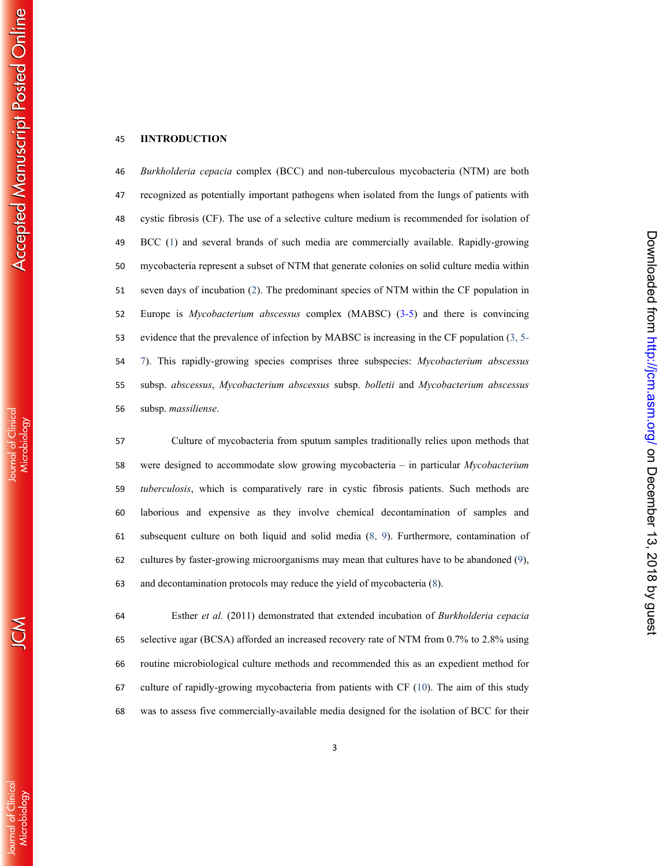### **IINTRODUCTION**

*Burkholderia cepacia* complex (BCC) and non-tuberculous mycobacteria (NTM) are both recognized as potentially important pathogens when isolated from the lungs of patients with cystic fibrosis (CF). The use of a selective culture medium is recommended for isolation of BCC ( 1) and several brands of such media are commercially available. Rapidly-growing mycobacteria represent a subset of NTM that generate colonies on solid culture media within seven days of incubation ( 2). The predominant species of NTM within the CF population in Europe is *Mycobacterium abscessus* complex (MABSC) (3-5) and there is convincing evidence that the prevalence of infection by MABSC is increasing in the CF population (3, 5- 7). This rapidly-growing species comprises three subspecies: *Mycobacterium abscessus* subsp. *abscessus* , *Mycobacterium abscessus* subsp. *bolletii* and *Mycobacterium abscessus* subsp. *massiliense*.

Culture of mycobacteria from sputum samples traditionally relies upon methods that were designed to accommodate slow growing mycobacteria – in particular *Mycobacterium tuberculosis*, which is comparatively rare in cystic fibrosis patients. Such methods are laborious and expensive as they involve chemical decontamination of samples and subsequent culture on both liquid and solid media (8, 9). Furthermore, contamination of cultures by faster-growing microorganisms may mean that cultures have to be abandoned ( 9), and decontamination protocols may reduce the yield of mycobacteria ( 8).

on December 13, 2018 by guest <http://jcm.asm.org/> Downloaded from

Downloaded from http://jcm.asm.org/ on December 13, 2018 by guess

Esther *et al.* (2011) demonstrated that extended incubation of *Burkholderia cepacia* selective agar (BCSA) afforded an increased recovery rate of NTM from 0.7% to 2.8% using routine microbiological culture methods and recommended this as an expedient method for culture of rapidly-growing mycobacteria from patients with CF (10). The aim of this study was to assess five commercially-available media designed for the isolation of BCC for their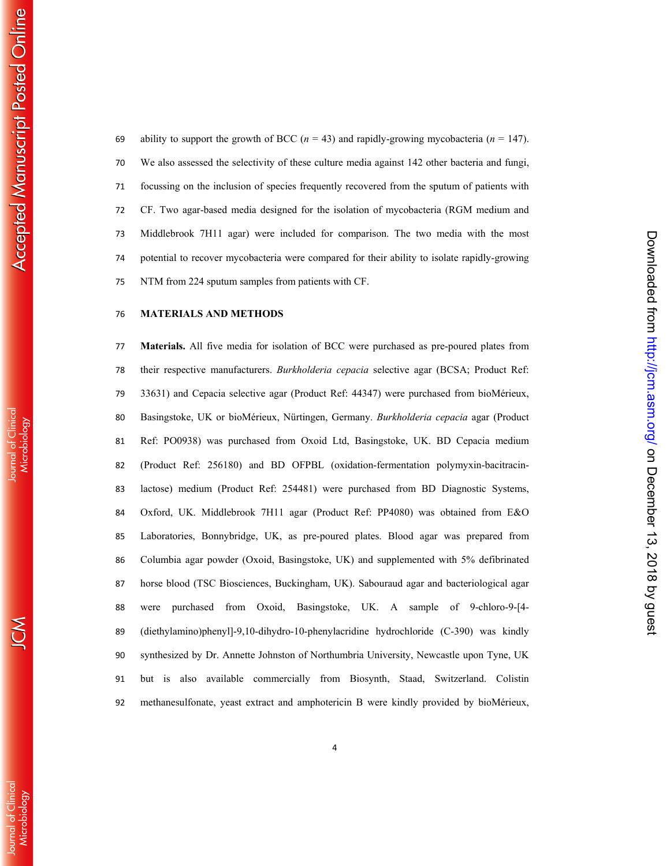69 ability to support the growth of BCC  $(n = 43)$  and rapidly-growing mycobacteria  $(n = 147)$ . We also assessed the selectivity of these culture media against 142 other bacteria and fungi, focussing on the inclusion of species frequently recovered from the sputum of patients with CF. Two agar-based media designed for the isolation of mycobacteria (RGM medium and Middlebrook 7H11 agar) were included for comparison. The two media with the most potential to recover mycobacteria were compared for their ability to isolate rapidly-growing NTM from 224 sputum samples from patients with CF.

# **MATERIALS AND METHODS**

**Materials.** All five media for isolation of BCC were purchased as pre-poured plates from their respective manufacturers. *Burkholderia cepacia* selective agar (BCSA; Product Ref: 33631) and Cepacia selective agar (Product Ref: 44347) were purchased from bioMérieux, Basingstoke, UK or bioMérieux, Nürtingen, Germany. *Burkholderia cepacia* agar (Product Ref: PO0938) was purchased from Oxoid Ltd, Basingstoke, UK. BD Cepacia medium (Product Ref: 256180) and BD OFPBL (oxidation-fermentation polymyxin-bacitracin-lactose) medium (Product Ref: 254481) were purchased from BD Diagnostic Systems, Oxford, UK. Middlebrook 7H11 agar (Product Ref: PP4080) was obtained from E&O Laboratories, Bonnybridge, UK, as pre-poured plates. Blood agar was prepared from Columbia agar powder (Oxoid, Basingstoke, UK) and supplemented with 5% defibrinated horse blood (TSC Biosciences, Buckingham, UK). Sabouraud agar and bacteriological agar were purchased from Oxoid, Basingstoke, UK. A sample of 9-chloro-9-[4- (diethylamino)phenyl]-9,10-dihydro-10-phenylacridine hydrochloride (C-390) was kindly synthesized by Dr. Annette Johnston of Northumbria University, Newcastle upon Tyne, UK but is also available commercially from Biosynth, Staad, Switzerland. Colistin methanesulfonate, yeast extract and amphotericin B were kindly provided by bioMérieux,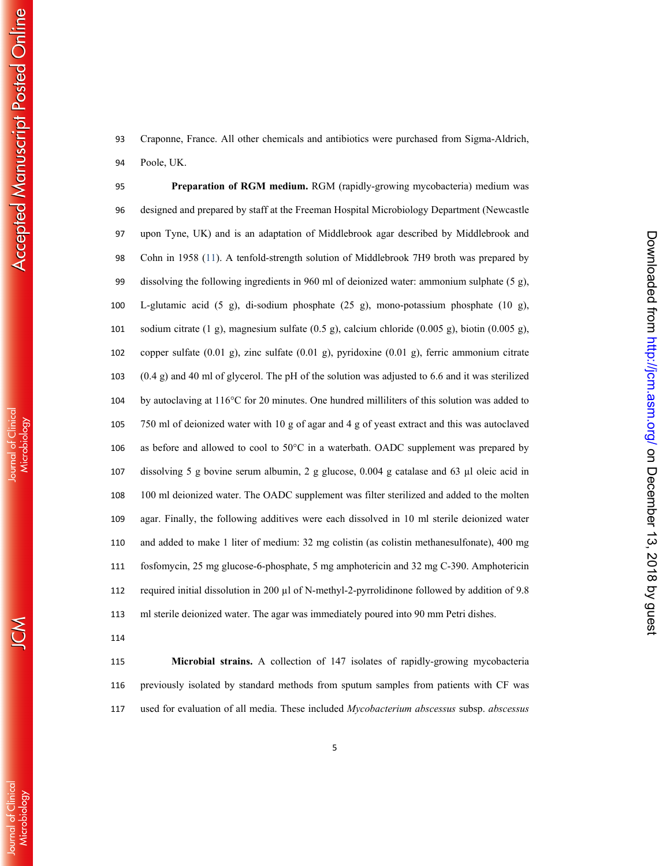ournal of Clinica

Craponne, France. All other chemicals and antibiotics were purchased from Sigma-Aldrich, Poole, UK.

**Preparation of RGM medium.** RGM (rapidly-growing mycobacteria) medium was designed and prepared by staff at the Freeman Hospital Microbiology Department (Newcastle upon Tyne, UK) and is an adaptation of Middlebrook agar described by Middlebrook and Cohn in 1958 (11). A tenfold-strength solution of Middlebrook 7H9 broth was prepared by dissolving the following ingredients in 960 ml of deionized water: ammonium sulphate (5 g), L-glutamic acid (5 g), di-sodium phosphate (25 g), mono-potassium phosphate (10 g), sodium citrate (1 g), magnesium sulfate (0.5 g), calcium chloride (0.005 g), biotin (0.005 g), copper sulfate (0.01 g), zinc sulfate (0.01 g), pyridoxine (0.01 g), ferric ammonium citrate (0.4 g) and 40 ml of glycerol. The pH of the solution was adjusted to 6.6 and it was sterilized by autoclaving at 116°C for 20 minutes. One hundred milliliters of this solution was added to 750 ml of deionized water with 10 g of agar and 4 g of yeast extract and this was autoclaved as before and allowed to cool to 50°C in a waterbath. OADC supplement was prepared by dissolving 5 g bovine serum albumin, 2 g glucose, 0.004 g catalase and 63 µl oleic acid in 100 ml deionized water. The OADC supplement was filter sterilized and added to the molten agar. Finally, the following additives were each dissolved in 10 ml sterile deionized water and added to make 1 liter of medium: 32 mg colistin (as colistin methanesulfonate), 400 mg fosfomycin, 25 mg glucose-6-phosphate, 5 mg amphotericin and 32 mg C-390. Amphotericin required initial dissolution in 200 µl of N-methyl-2-pyrrolidinone followed by addition of 9.8 ml sterile deionized water. The agar was immediately poured into 90 mm Petri dishes.

**Microbial strains.** A collection of 147 isolates of rapidly-growing mycobacteria previously isolated by standard methods from sputum samples from patients with CF was used for evaluation of all media. These included *Mycobacterium abscessus* subsp. *abscessus*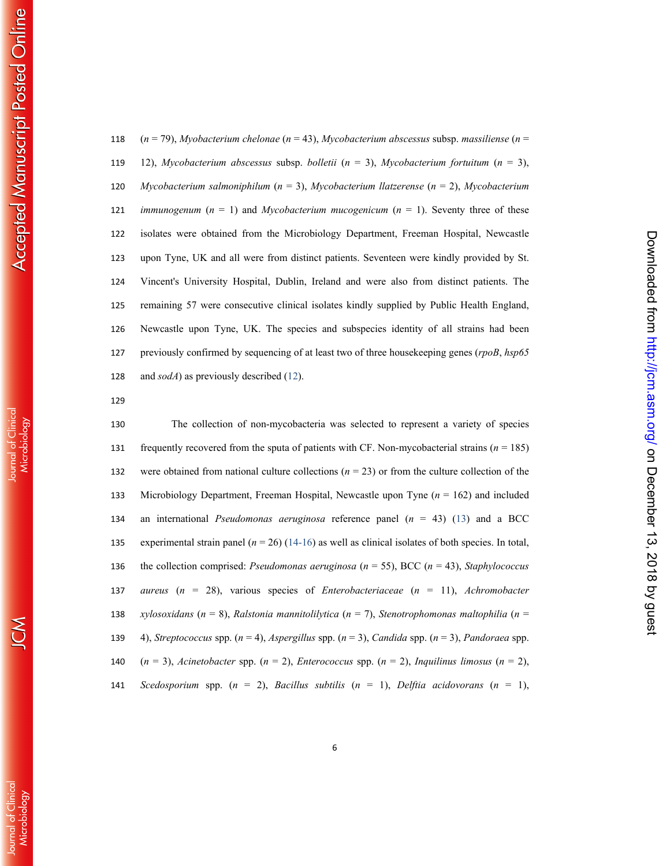( *n* = 79), *Myobacterium chelonae* ( *n* = 43), *Mycobacterium abscessus* subsp. *massiliense* ( *n* = 12), *Mycobacterium abscessus* subsp. *bolletii* ( *n* = 3), *Mycobacterium fortuitum* ( *n* = 3), *Mycobacterium salmoniphilum* ( *n* = 3), *Mycobacterium llatzerense* ( *n* = 2), *Mycobacterium immunogenum*  $(n = 1)$  and *Mycobacterium mucogenicum*  $(n = 1)$ . Seventy three of these isolates were obtained from the Microbiology Department, Freeman Hospital, Newcastle upon Tyne, UK and all were from distinct patients. Seventeen were kindly provided by St. Vincent's University Hospital, Dublin, Ireland and were also from distinct patients. The remaining 57 were consecutive clinical isolates kindly supplied by Public Health England, Newcastle upon Tyne, UK. The species and subspecies identity of all strains had been previously confirmed by sequencing of at least two of three housekeeping genes (*rpoB*, *hsp65* and *sodA*) as previously described (12).

The collection of non-mycobacteria was selected to represent a variety of species frequently recovered from the sputa of patients with CF. Non-mycobacterial strains ( *n* = 185) 132 were obtained from national culture collections  $(n = 23)$  or from the culture collection of the Microbiology Department, Freeman Hospital, Newcastle upon Tyne ( *n* = 162) and included an international *Pseudomonas aeruginosa* reference panel ( *n* = 43) (13) and a BCC 135 experimental strain panel  $(n = 26)$  (14-16) as well as clinical isolates of both species. In total, the collection comprised: *Pseudomonas aeruginosa* ( *n* = 55), BCC ( *n* = 43), *Staphylococcus aureus* ( *n* = 28), various species of *Enterobacteriaceae* ( *n* = 11), *Achromobacter xylosoxidans* ( *n* = 8), *Ralstonia mannitolilytica* ( *n* = 7), *Stenotrophomonas maltophilia* ( *n* = 4), *Streptococcus* spp. ( *n* = 4), *Aspergillus* spp. ( *n* = 3), *Candida* spp. ( *n* = 3), *Pandoraea* spp. ( *n* = 3), *Acinetobacter* spp. ( *n* = 2), *Enterococcus* spp. ( *n* = 2), *Inquilinus limosus* ( *n* = 2), *Scedosporium* spp. ( *n* = 2), *Bacillus subtilis* ( *n* = 1), *Delftia acidovorans* ( *n* = 1), on December 13, 2018 by guest <http://jcm.asm.org/> Downloaded from

Downloaded from http://jcm.asm.org/ on December 13, 2018 by guess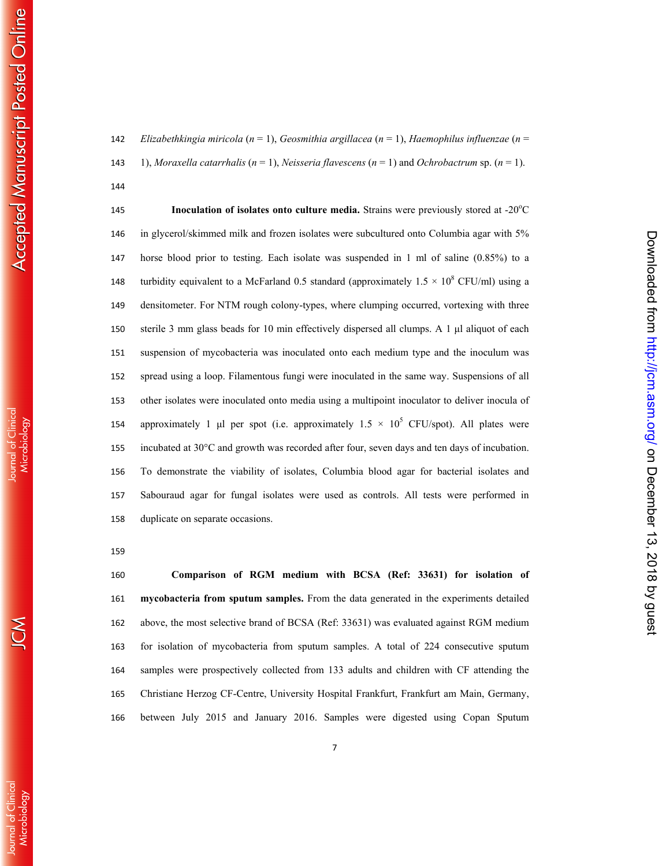*Elizabethkingia miricola* ( *n* = 1), *Geosmithia argillacea* ( *n* = 1), *Haemophilus influenzae* ( *n* = 143 1), *Moraxella catarrhalis*  $(n = 1)$ , *Neisseria flavescens*  $(n = 1)$  and *Ochrobactrum* sp.  $(n = 1)$ . 

**Inoculation of isolates onto culture media.** Strains were previously stored at -20<sup>o</sup>C in glycerol/skimmed milk and frozen isolates were subcultured onto Columbia agar with 5% horse blood prior to testing. Each isolate was suspended in 1 ml of saline (0.85%) to a 148 turbidity equivalent to a McFarland 0.5 standard (approximately  $1.5 \times 10^8$  CFU/ml) using a densitometer. For NTM rough colony-types, where clumping occurred, vortexing with three sterile 3 mm glass beads for 10 min effectively dispersed all clumps. A 1 μl aliquot of each suspension of mycobacteria was inoculated onto each medium type and the inoculum was spread using a loop. Filamentous fungi were inoculated in the same way. Suspensions of all other isolates were inoculated onto media using a multipoint inoculator to deliver inocula of 154 approximately 1 µl per spot (i.e. approximately  $1.5 \times 10^5$  CFU/spot). All plates were incubated at 30°C and growth was recorded after four, seven days and ten days of incubation. To demonstrate the viability of isolates, Columbia blood agar for bacterial isolates and Sabouraud agar for fungal isolates were used as controls. All tests were performed in duplicate on separate occasions.

**Comparison of RGM medium with BCSA (Ref: 33631) for isolation of mycobacteria from sputum samples.** From the data generated in the experiments detailed above, the most selective brand of BCSA (Ref: 33631) was evaluated against RGM medium for isolation of mycobacteria from sputum samples. A total of 224 consecutive sputum samples were prospectively collected from 133 adults and children with CF attending the Christiane Herzog CF-Centre, University Hospital Frankfurt, Frankfurt am Main, Germany, between July 2015 and January 2016. Samples were digested using Copan Sputum

**Journal of Clinical**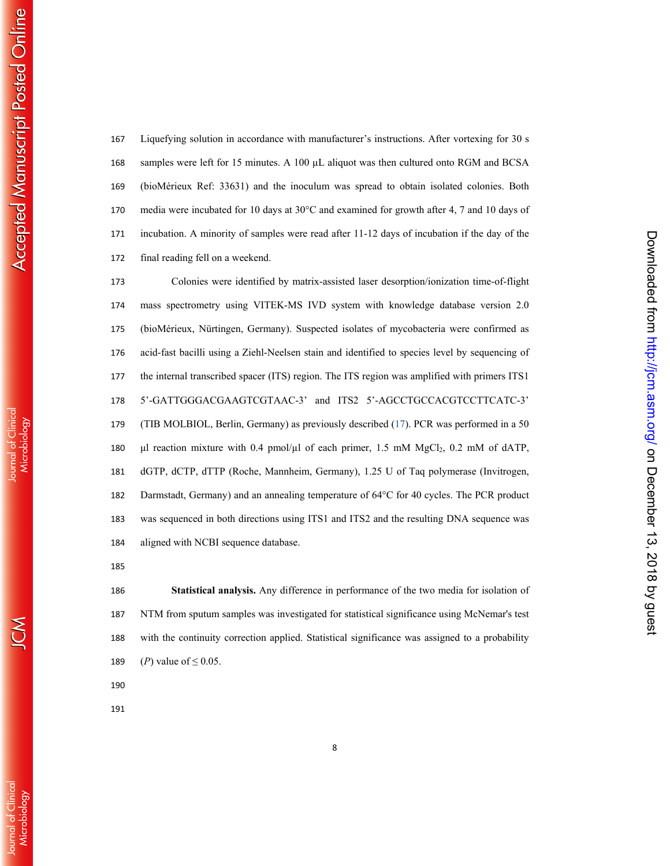Liquefying solution in accordance with manufacturer's instructions. After vortexing for 30 s samples were left for 15 minutes. A 100 µL aliquot was then cultured onto RGM and BCSA (bioMérieux Ref: 33631) and the inoculum was spread to obtain isolated colonies. Both media were incubated for 10 days at 30°C and examined for growth after 4, 7 and 10 days of incubation. A minority of samples were read after 11-12 days of incubation if the day of the final reading fell on a weekend.

Colonies were identified by matrix-assisted laser desorption/ionization time-of-flight mass spectrometry using VITEK-MS IVD system with knowledge database version 2.0 (bioMérieux, Nürtingen, Germany). Suspected isolates of mycobacteria were confirmed as acid-fast bacilli using a Ziehl-Neelsen stain and identified to species level by sequencing of the internal transcribed spacer (ITS) region. The ITS region was amplified with primers ITS1 5'-GATTGGGACGAAGTCGTAAC-3' and ITS2 5'-AGCCTGCCACGTCCTTCATC-3' (TIB MOLBIOL, Berlin, Germany) as previously described (17). PCR was performed in a 50  $\mu$ l reaction mixture with 0.4 pmol/ $\mu$ l of each primer, 1.5 mM MgCl<sub>2</sub>, 0.2 mM of dATP, dGTP, dCTP, dTTP (Roche, Mannheim, Germany), 1.25 U of Taq polymerase (Invitrogen, Darmstadt, Germany) and an annealing temperature of 64°C for 40 cycles. The PCR product was sequenced in both directions using ITS1 and ITS2 and the resulting DNA sequence was aligned with NCBI sequence database.

on December 13, 2018 by guest <http://jcm.asm.org/> Downloaded from

Downloaded from http://jcm.asm.org/ on December 13, 2018 by gues

**Statistical analysis.** Any difference in performance of the two media for isolation of NTM from sputum samples was investigated for statistical significance using McNemar's test with the continuity correction applied. Statistical significance was assigned to a probability (*P*) value of  $\leq$  0.05.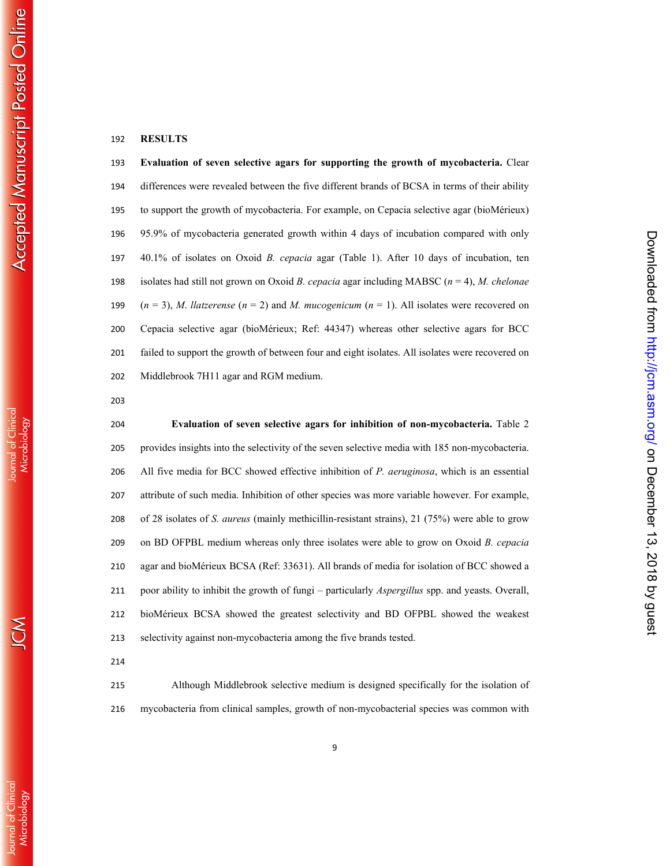### **RESULTS**

**Evaluation of seven selective agars for supporting the growth of mycobacteria.** Clear differences were revealed between the five different brands of BCSA in terms of their ability to support the growth of mycobacteria. For example, on Cepacia selective agar (bioMérieux) 95.9% of mycobacteria generated growth within 4 days of incubation compared with only 40.1% of isolates on Oxoid *B. cepacia* agar (Table 1). After 10 days of incubation, ten isolates had still not grown on Oxoid *B. cepacia* agar including MABSC ( *n* = 4), *M. chelonae*  $(n = 3)$ , *M. llatzerense*  $(n = 2)$  and *M. mucogenicum*  $(n = 1)$ . All isolates were recovered on Cepacia selective agar (bioMérieux; Ref: 44347) whereas other selective agars for BCC failed to support the growth of between four and eight isolates. All isolates were recovered on Middlebrook 7H11 agar and RGM medium.

**Evaluation of seven selective agars for inhibition of non-mycobacteria.** Table 2 provides insights into the selectivity of the seven selective media with 185 non-mycobacteria. All five media for BCC showed effective inhibition of *P. aeruginosa*, which is an essential attribute of such media. Inhibition of other species was more variable however. For example, of 28 isolates of *S. aureus* (mainly methicillin-resistant strains), 21 (75%) were able to grow on BD OFPBL medium whereas only three isolates were able to grow on Oxoid *B. cepacia* agar and bioMérieux BCSA (Ref: 33631). All brands of media for isolation of BCC showed a poor ability to inhibit the growth of fungi – particularly *Aspergillus* spp. and yeasts. Overall, bioMérieux BCSA showed the greatest selectivity and BD OFPBL showed the weakest selectivity against non-mycobacteria among the five brands tested.

on December 13, 2018 by guest <http://jcm.asm.org/> Downloaded from

Downloaded from http://jcm.asm.org/ on December 13, 2018 by gues

Although Middlebrook selective medium is designed specifically for the isolation of mycobacteria from clinical samples, growth of non-mycobacterial species was common with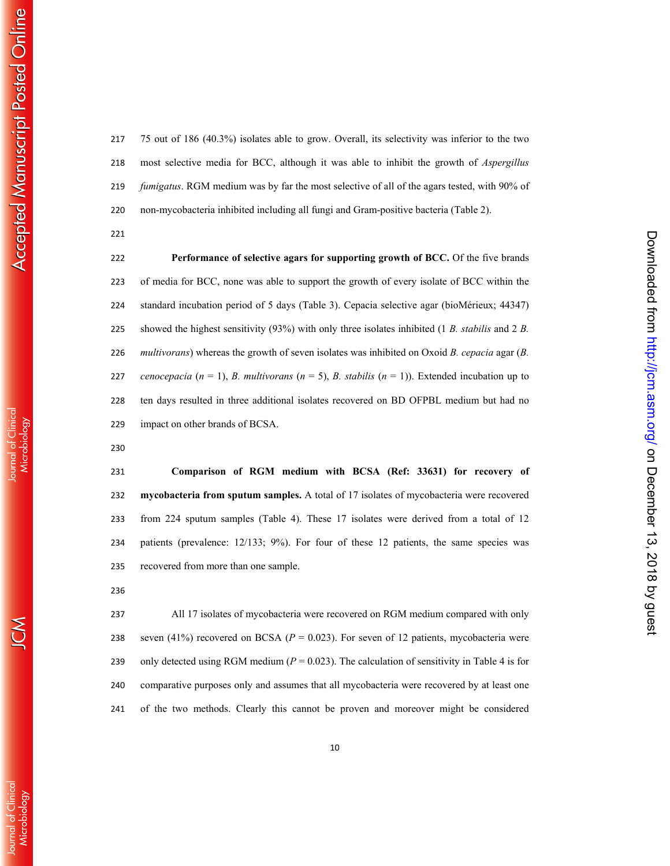**Journal of Clinica** 

**Journal of Clinica** 

75 out of 186 (40.3%) isolates able to grow. Overall, its selectivity was inferior to the two most selective media for BCC, although it was able to inhibit the growth of *Aspergillus fumigatus*. RGM medium was by far the most selective of all of the agars tested, with 90% of non-mycobacteria inhibited including all fungi and Gram-positive bacteria (Table 2).

**Performance of selective agars for supporting growth of BCC.** Of the five brands of media for BCC, none was able to support the growth of every isolate of BCC within the standard incubation period of 5 days (Table 3). Cepacia selective agar (bioMérieux; 44347) showed the highest sensitivity (93%) with only three isolates inhibited (1 *B. stabilis* and 2 *B. multivorans*) whereas the growth of seven isolates was inhibited on Oxoid *B. cepacia* agar (*B. cenocepacia*  $(n = 1)$ , *B. multivorans*  $(n = 5)$ , *B. stabilis*  $(n = 1)$ ). Extended incubation up to ten days resulted in three additional isolates recovered on BD OFPBL medium but had no impact on other brands of BCSA.

**Comparison of RGM medium with BCSA (Ref: 33631) for recovery of mycobacteria from sputum samples.** A total of 17 isolates of mycobacteria were recovered from 224 sputum samples (Table 4). These 17 isolates were derived from a total of 12 patients (prevalence: 12/133; 9%). For four of these 12 patients, the same species was recovered from more than one sample.

on December 13, 2018 by guest <http://jcm.asm.org/> Downloaded from

Downloaded from http://jcm.asm.org/ on December 13, 2018 by guess

All 17 isolates of mycobacteria were recovered on RGM medium compared with only 238 seven (41%) recovered on BCSA ( $P = 0.023$ ). For seven of 12 patients, mycobacteria were 239 only detected using RGM medium  $(P = 0.023)$ . The calculation of sensitivity in Table 4 is for comparative purposes only and assumes that all mycobacteria were recovered by at least one of the two methods. Clearly this cannot be proven and moreover might be considered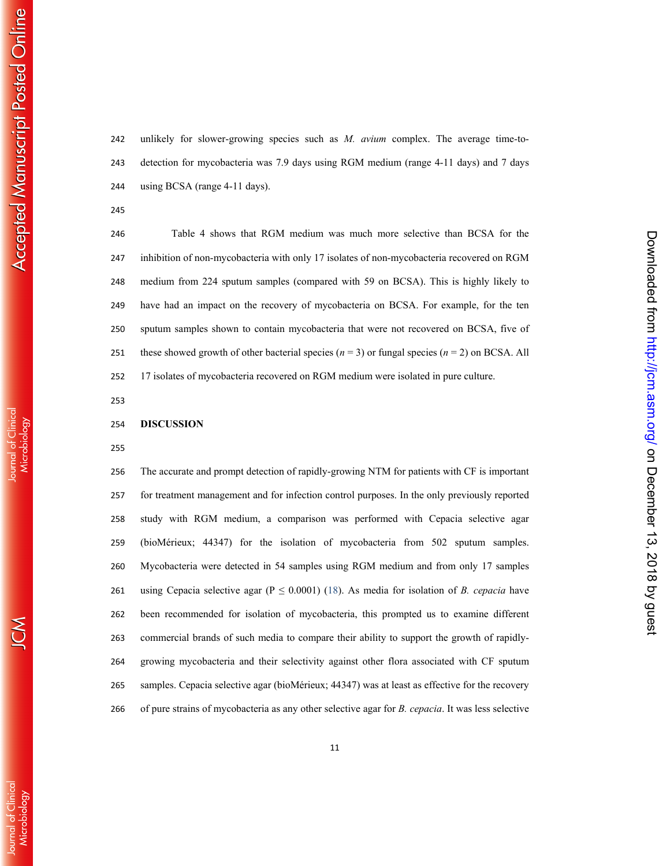Journal of Clinica

**Journal of Clinica** 

unlikely for slower-growing species such as *M. avium* complex. The average time-to-detection for mycobacteria was 7.9 days using RGM medium (range 4-11 days) and 7 days using BCSA (range 4-11 days).

Table 4 shows that RGM medium was much more selective than BCSA for the inhibition of non-mycobacteria with only 17 isolates of non-mycobacteria recovered on RGM medium from 224 sputum samples (compared with 59 on BCSA). This is highly likely to have had an impact on the recovery of mycobacteria on BCSA. For example, for the ten sputum samples shown to contain mycobacteria that were not recovered on BCSA, five of 251 these showed growth of other bacterial species  $(n = 3)$  or fungal species  $(n = 2)$  on BCSA. All 17 isolates of mycobacteria recovered on RGM medium were isolated in pure culture.

on December 13, 2018 by guest <http://jcm.asm.org/> Downloaded from

Downloaded from http://jcm.asm.org/ on December 13, 2018 by gues

#### **DISCUSSION**

The accurate and prompt detection of rapidly-growing NTM for patients with CF is important for treatment management and for infection control purposes. In the only previously reported study with RGM medium, a comparison was performed with Cepacia selective agar (bioMérieux; 44347) for the isolation of mycobacteria from 502 sputum samples. Mycobacteria were detected in 54 samples using RGM medium and from only 17 samples 261 using Cepacia selective agar  $(P \le 0.0001)$  (18). As media for isolation of *B. cepacia* have been recommended for isolation of mycobacteria, this prompted us to examine different commercial brands of such media to compare their ability to support the growth of rapidly-growing mycobacteria and their selectivity against other flora associated with CF sputum samples. Cepacia selective agar (bioMérieux; 44347) was at least as effective for the recovery of pure strains of mycobacteria as any other selective agar for *B. cepacia*. It was less selective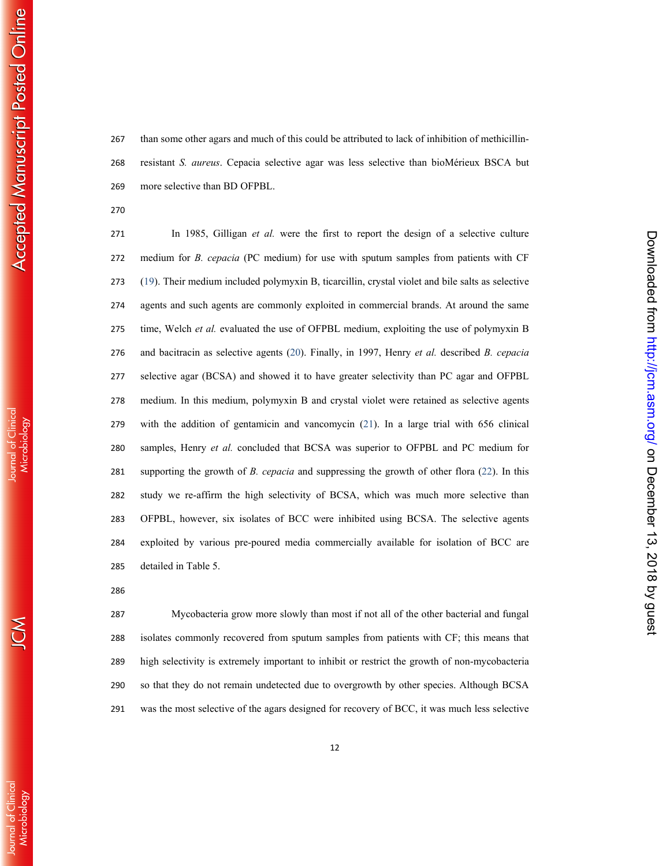Journal of Clinica

than some other agars and much of this could be attributed to lack of inhibition of methicillin-resistant *S. aureus*. Cepacia selective agar was less selective than bioMérieux BSCA but more selective than BD OFPBL.

In 1985, Gilligan *et al.* were the first to report the design of a selective culture medium for *B. cepacia* (PC medium) for use with sputum samples from patients with CF (19). Their medium included polymyxin B, ticarcillin, crystal violet and bile salts as selective agents and such agents are commonly exploited in commercial brands. At around the same time, Welch *et al.* evaluated the use of OFPBL medium, exploiting the use of polymyxin B and bacitracin as selective agents (20). Finally, in 1997, Henry *et al.* described *B. cepacia* selective agar (BCSA) and showed it to have greater selectivity than PC agar and OFPBL medium. In this medium, polymyxin B and crystal violet were retained as selective agents with the addition of gentamicin and vancomycin (21). In a large trial with 656 clinical samples, Henry *et al.* concluded that BCSA was superior to OFPBL and PC medium for supporting the growth of *B. cepacia* and suppressing the growth of other flora (22). In this study we re-affirm the high selectivity of BCSA, which was much more selective than OFPBL, however, six isolates of BCC were inhibited using BCSA. The selective agents exploited by various pre-poured media commercially available for isolation of BCC are detailed in Table 5.

Mycobacteria grow more slowly than most if not all of the other bacterial and fungal isolates commonly recovered from sputum samples from patients with CF; this means that high selectivity is extremely important to inhibit or restrict the growth of non-mycobacteria so that they do not remain undetected due to overgrowth by other species. Although BCSA was the most selective of the agars designed for recovery of BCC, it was much less selective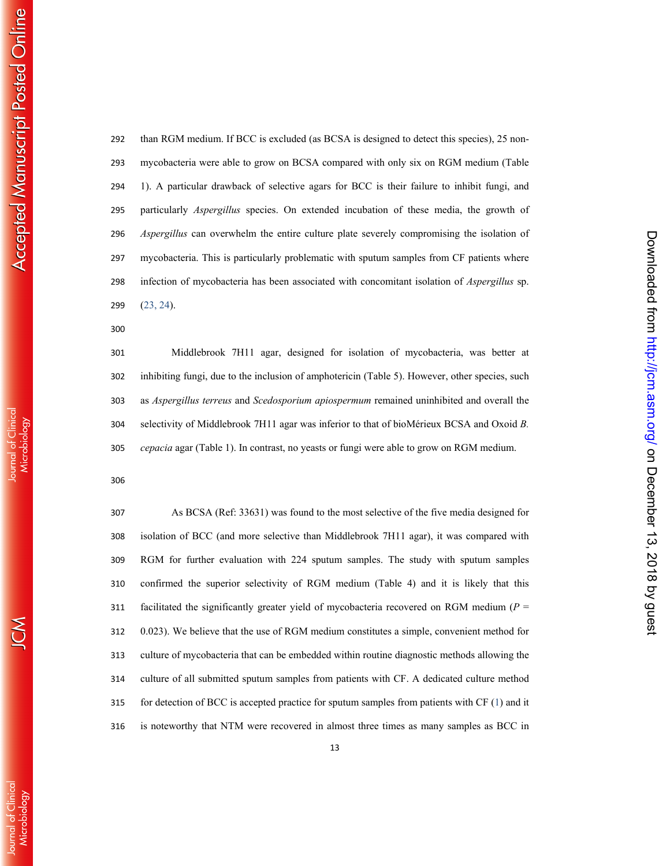**Journal of Clinical** 

than RGM medium. If BCC is excluded (as BCSA is designed to detect this species), 25 non-mycobacteria were able to grow on BCSA compared with only six on RGM medium (Table 1). A particular drawback of selective agars for BCC is their failure to inhibit fungi, and particularly *Aspergillus* species. On extended incubation of these media, the growth of *Aspergillus* can overwhelm the entire culture plate severely compromising the isolation of mycobacteria. This is particularly problematic with sputum samples from CF patients where infection of mycobacteria has been associated with concomitant isolation of *Aspergillus* sp.  $(23, 24)$ .

Middlebrook 7H11 agar, designed for isolation of mycobacteria, was better at inhibiting fungi, due to the inclusion of amphotericin (Table 5). However, other species, such as *Aspergillus terreus* and *Scedosporium apiospermum* remained uninhibited and overall the selectivity of Middlebrook 7H11 agar was inferior to that of bioMérieux BCSA and Oxoid *B. cepacia* agar (Table 1). In contrast, no yeasts or fungi were able to grow on RGM medium.

As BCSA (Ref: 33631) was found to the most selective of the five media designed for isolation of BCC (and more selective than Middlebrook 7H11 agar), it was compared with RGM for further evaluation with 224 sputum samples. The study with sputum samples confirmed the superior selectivity of RGM medium (Table 4) and it is likely that this facilitated the significantly greater yield of mycobacteria recovered on RGM medium (*P* = 0.023). We believe that the use of RGM medium constitutes a simple, convenient method for culture of mycobacteria that can be embedded within routine diagnostic methods allowing the culture of all submitted sputum samples from patients with CF. A dedicated culture method for detection of BCC is accepted practice for sputum samples from patients with CF ( 1) and it is noteworthy that NTM were recovered in almost three times as many samples as BCC in

on December 13, 2018 by guest <http://jcm.asm.org/> Downloaded from

Downloaded from http://jcm.asm.org/ on December 13, 2018 by guess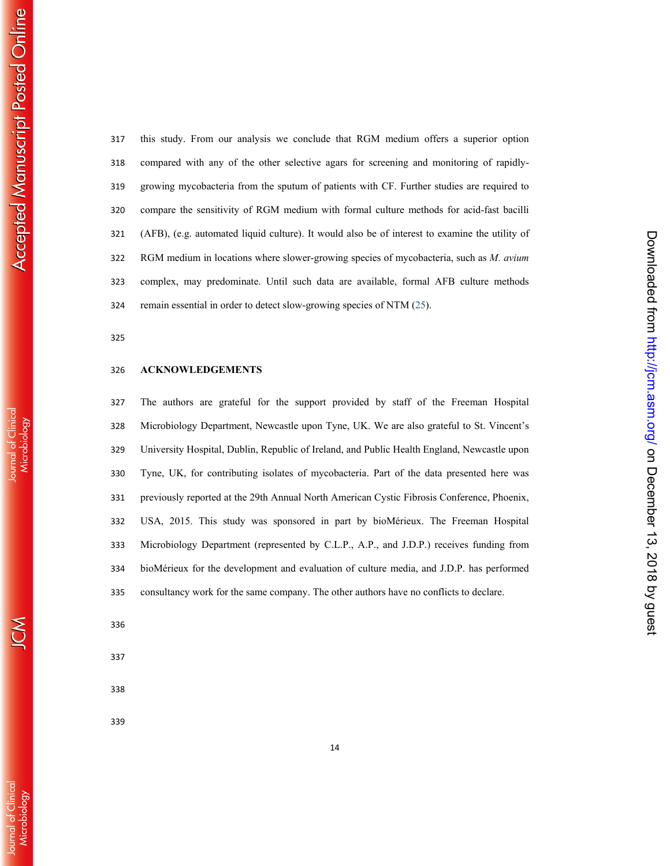Journal of Clinical<br>Microbiology

 $\mathcal{S}% _{M_{1},M_{2}}^{\alpha,\beta,\gamma,\gamma,\gamma,\gamma,\gamma,\gamma,\gamma}$ 

**Journal of Clinical** Microbiology

on December 13, 2018 by guest <http://jcm.asm.org/> Downloaded from

Downloaded from http://jcm.asm.org/ on December 13, 2018 by gues

this study. From our analysis we conclude that RGM medium offers a superior option compared with any of the other selective agars for screening and monitoring of rapidly-growing mycobacteria from the sputum of patients with CF. Further studies are required to compare the sensitivity of RGM medium with formal culture methods for acid-fast bacilli (AFB), (e.g. automated liquid culture). It would also be of interest to examine the utility of RGM medium in locations where slower-growing species of mycobacteria, such as *M. avium* complex, may predominate. Until such data are available, formal AFB culture methods remain essential in order to detect slow-growing species of NTM (25).

#### **ACKNOWLEDGEMENTS**

The authors are grateful for the support provided by staff of the Freeman Hospital Microbiology Department, Newcastle upon Tyne, UK. We are also grateful to St. Vincent's University Hospital, Dublin, Republic of Ireland, and Public Health England, Newcastle upon Tyne, UK, for contributing isolates of mycobacteria. Part of the data presented here was previously reported at the 29th Annual North American Cystic Fibrosis Conference, Phoenix, USA, 2015. This study was sponsored in part by bioMérieux. The Freeman Hospital Microbiology Department (represented by C.L.P., A.P., and J.D.P.) receives funding from bioMérieux for the development and evaluation of culture media, and J.D.P. has performed consultancy work for the same company. The other authors have no conflicts to declare.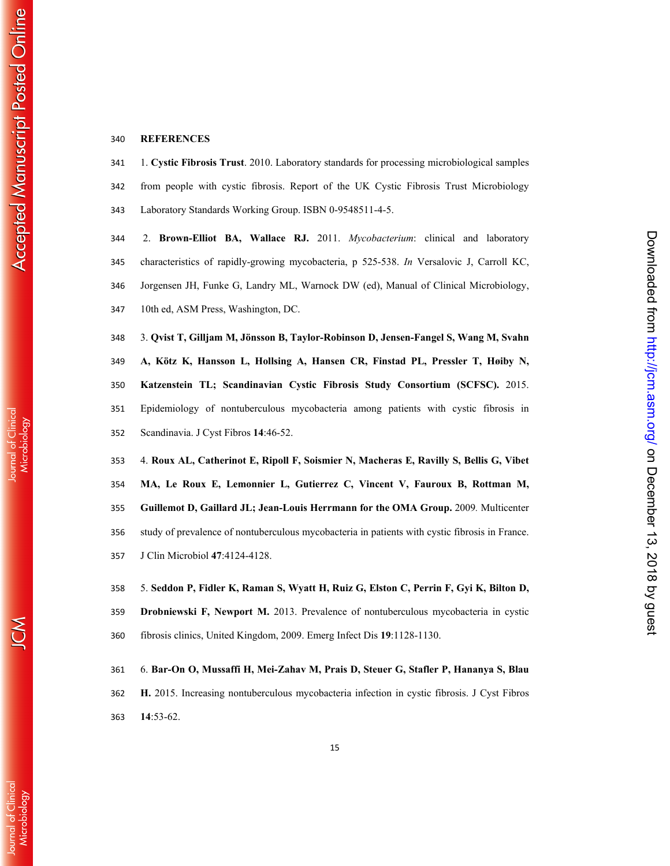## **REFERENCES**

1. **Cystic Fibrosis Trust**. 2010. Laboratory standards for processing microbiological samples from people with cystic fibrosis. Report of the UK Cystic Fibrosis Trust Microbiology Laboratory Standards Working Group. ISBN 0-9548511-4-5.

2. **Brown-Elliot BA, Wallace RJ.** 2011. *Mycobacterium*: clinical and laboratory characteristics of rapidly-growing mycobacteria, p 525-538. *In* Versalovic J, Carroll KC, Jorgensen JH, Funke G, Landry ML, Warnock DW (ed), Manual of Clinical Microbiology, 10th ed, ASM Press, Washington, DC.

3. **Qvist T, Gilljam M, Jönsson B, Taylor-Robinson D, Jensen-Fangel S, Wang M, Svahn A, Kötz K, Hansson L, Hollsing A, Hansen CR, Finstad PL, Pressler T, Høiby N, Katzenstein TL; Scandinavian Cystic Fibrosis Study Consortium (SCFSC).** 2015. Epidemiology of nontuberculous mycobacteria among patients with cystic fibrosis in Scandinavia. J Cyst Fibros **14**:46-52.

4. **Roux AL, Catherinot E, Ripoll F, Soismier N, Macheras E, Ravilly S, Bellis G, Vibet MA, Le Roux E, Lemonnier L, Gutierrez C, Vincent V, Fauroux B, Rottman M, Guillemot D, Gaillard JL; Jean-Louis Herrmann for the OMA Group .** 2009 *.* Multicenter study of prevalence of nontuberculous mycobacteria in patients with cystic fibrosis in France. J Clin Microbiol **47**:4124-4128.

5. **Seddon P, Fidler K, Raman S, Wyatt H, Ruiz G, Elston C, Perrin F, Gyi K, Bilton D, Drobniewski F, Newport M.** 2013. Prevalence of nontuberculous mycobacteria in cystic fibrosis clinics, United Kingdom, 2009. Emerg Infect Dis **19**:1128-1130.

6. **Bar-On O, Mussaffi H, Mei-Zahav M, Prais D, Steuer G, Stafler P, Hananya S, Blau H.** 2015. Increasing nontuberculous mycobacteria infection in cystic fibrosis. J Cyst Fibros **14**:53-62.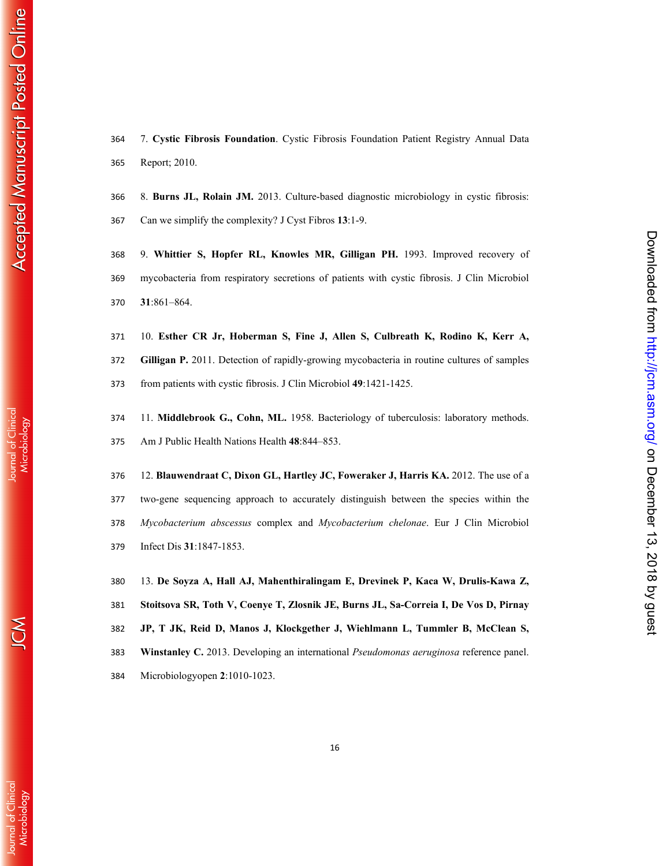Journal of Clinical

7. **Cystic Fibrosis Foundation**. Cystic Fibrosis Foundation Patient Registry Annual Data Report; 2010.

8. **Burns JL, Rolain JM.** 2013. Culture-based diagnostic microbiology in cystic fibrosis: Can we simplify the complexity? J Cyst Fibros **13**:1-9.

9. **Whittier S, Hopfer RL, Knowles MR, Gilligan PH.** 1993. Improved recovery of mycobacteria from respiratory secretions of patients with cystic fibrosis. J Clin Microbiol **31**:861–864.

10. **Esther CR Jr, Hoberman S, Fine J, Allen S, Culbreath K, Rodino K, Kerr A, Gilligan P.** 2011. Detection of rapidly-growing mycobacteria in routine cultures of samples from patients with cystic fibrosis. J Clin Microbiol **49**:1421-1425.

11. **Middlebrook G., Cohn, ML.** 1958. Bacteriology of tuberculosis: laboratory methods. Am J Public Health Nations Health **48**:844–853.

12. **Blauwendraat C, Dixon GL, Hartley JC, Foweraker J, Harris KA.** 2012. The use of a two-gene sequencing approach to accurately distinguish between the species within the *Mycobacterium abscessus* complex and *Mycobacterium chelonae*. Eur J Clin Microbiol Infect Dis **31**:1847-1853.

13. **De Soyza A, Hall AJ, Mahenthiralingam E, Drevinek P, Kaca W, Drulis-Kawa Z, Stoitsova SR, Toth V, Coenye T, Zlosnik JE, Burns JL, Sa-Correia I, De Vos D, Pirnay JP, T JK, Reid D, Manos J, Klockgether J, Wiehlmann L, Tummler B, McClean S, Winstanley C.** 2013. Developing an international *Pseudomonas aeruginosa* reference panel. Microbiologyopen **2**:1010-1023.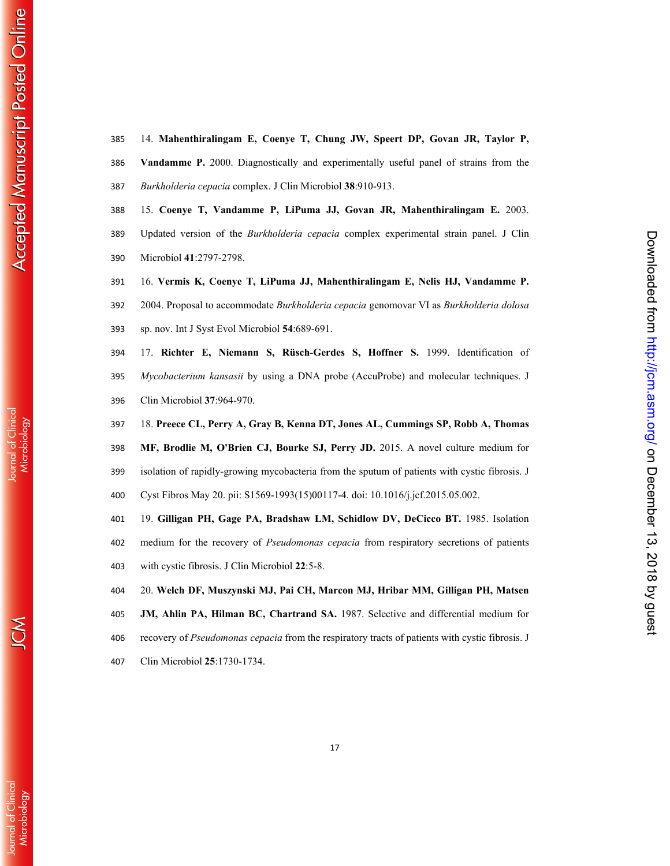14. **Mahenthiralingam E, Coenye T, Chung JW, Speert DP, Govan JR, Taylor P, Vandamme P.** 2000. Diagnostically and experimentally useful panel of strains from the

- *Burkholderia cepacia* complex. J Clin Microbiol **38**:910-913.
	- 15. **Coenye T, Vandamme P, LiPuma JJ, Govan JR, Mahenthiralingam E.** 2003.
	- Updated version of the *Burkholderia cepacia* complex experimental strain panel. J Clin Microbiol **41**:2797-2798.
	- 16. **Vermis K, Coenye T, LiPuma JJ, Mahenthiralingam E, Nelis HJ, Vandamme P.**
	- 2004. Proposal to accommodate *Burkholderia cepacia* genomovar VI as *Burkholderia dolosa* sp. nov. Int J Syst Evol Microbiol **54**:689-691.
	- 17. **Richter E, Niemann S, Rüsch-Gerdes S, Hoffner S.** 1999. Identification of *Mycobacterium kansasii* by using a DNA probe (AccuProbe) and molecular techniques. J Clin Microbiol **37**:964-970.
	- 18. **Preece CL, Perry A, Gray B, Kenna DT, Jones AL, Cummings SP, Robb A, Thomas**
	- **MF, Brodlie M, O'Brien CJ, Bourke SJ, Perry JD.** 2015. A novel culture medium for
- isolation of rapidly-growing mycobacteria from the sputum of patients with cystic fibrosis. J
- Cyst Fibros May 20. pii: S1569-1993(15)00117-4. doi: 10.1016/j.jcf.2015.05.002.
- 19. **Gilligan PH, Gage PA, Bradshaw LM, Schidlow DV, DeCicco BT.** 1985. Isolation
- medium for the recovery of *Pseudomonas cepacia* from respiratory secretions of patients with cystic fibrosis. J Clin Microbiol **22**:5-8.
- 20. **Welch DF, Muszynski MJ, Pai CH, Marcon MJ, Hribar MM, Gilligan PH, Matsen**
- **JM, Ahlin PA, Hilman BC, Chartrand SA.** 1987. Selective and differential medium for
- recovery of *Pseudomonas cepacia* from the respiratory tracts of patients with cystic fibrosis. J
- Clin Microbiol **25**:1730-1734.

**Journal of Clinical** 

lournal of Clinica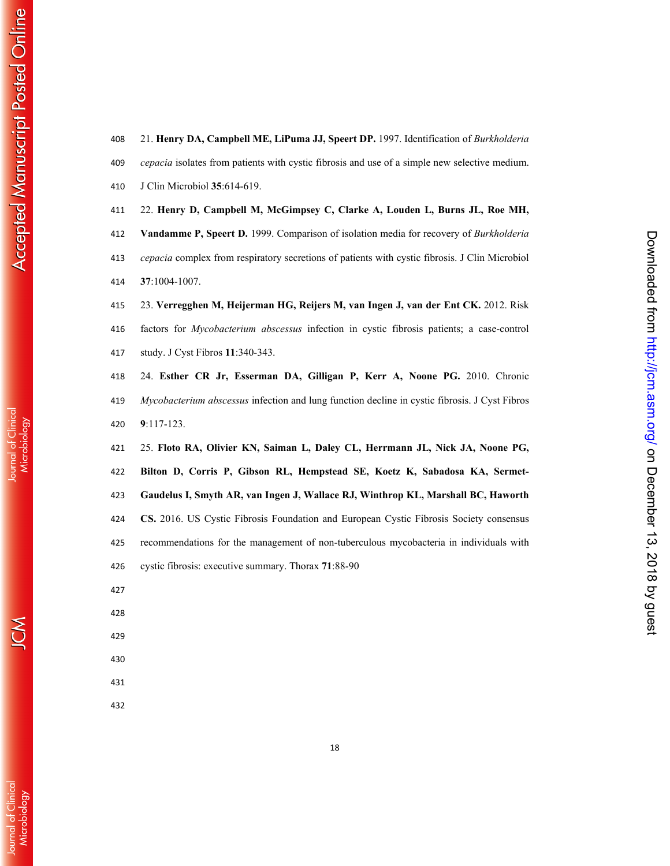- 21. **Henry DA, Campbell ME, LiPuma JJ, Speert DP.** 1997. Identification of *Burkholderia cepacia* isolates from patients with cystic fibrosis and use of a simple new selective medium. J Clin Microbiol **35**:614-619. 22. **Henry D, Campbell M, McGimpsey C, Clarke A, Louden L, Burns JL, Roe MH, Vandamme P, Speert D.** 1999. Comparison of isolation media for recovery of *Burkholderia cepacia* complex from respiratory secretions of patients with cystic fibrosis. J Clin Microbiol **37**:1004-1007. 23. **Verregghen M, Heijerman HG, Reijers M, van Ingen J, van der Ent CK.** 2012. Risk factors for *Mycobacterium abscessus* infection in cystic fibrosis patients; a case-control
- study. J Cyst Fibros **11**:340-343. 24. **Esther CR Jr, Esserman DA, Gilligan P, Kerr A, Noone PG.** 2010. Chronic *Mycobacterium abscessus* infection and lung function decline in cystic fibrosis. J Cyst Fibros
- :117-123. 25. **Floto RA, Olivier KN, Saiman L, Daley CL, Herrmann JL, Nick JA, Noone PG, Bilton D, Corris P, Gibson RL, Hempstead SE, Koetz K, Sabadosa KA, Sermet-**

Downloaded from http://jcm.asm.org/ on December 13, 2018 by guess

**Gaudelus I, Smyth AR, van Ingen J, Wallace RJ, Winthrop KL, Marshall BC, Haworth CS.** 2016. US Cystic Fibrosis Foundation and European Cystic Fibrosis Society consensus recommendations for the management of non-tuberculous mycobacteria in individuals with cystic fibrosis: executive summary. Thorax **71**:88-90

- 
- 
- 
- 
- 
-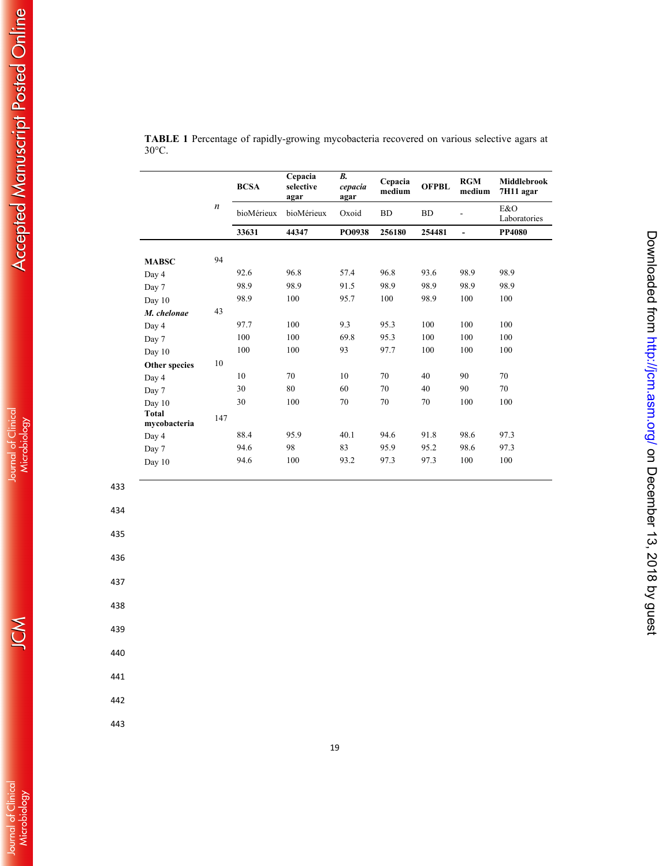|                              |                  | <b>BCSA</b> | Cepacia<br>selective<br>agar | B <sub>1</sub><br>cepacia<br>agar | Cepacia<br>medium | <b>OFPBL</b> | <b>RGM</b><br>medium | <b>Middlebrook</b><br>7H11 agar |
|------------------------------|------------------|-------------|------------------------------|-----------------------------------|-------------------|--------------|----------------------|---------------------------------|
|                              | $\boldsymbol{n}$ | bioMérieux  | bioMérieux                   | Oxoid                             | <b>BD</b>         | <b>BD</b>    |                      | E&O<br>Laboratories             |
|                              |                  | 33631       | 44347                        | PO0938                            | 256180            | 254481       | L,                   | <b>PP4080</b>                   |
| <b>MABSC</b>                 | 94               |             |                              |                                   |                   |              |                      |                                 |
| Day 4                        |                  | 92.6        | 96.8                         | 57.4                              | 96.8              | 93.6         | 98.9                 | 98.9                            |
| Day 7                        |                  | 98.9        | 98.9                         | 91.5                              | 98.9              | 98.9         | 98.9                 | 98.9                            |
| Day 10                       |                  | 98.9        | 100                          | 95.7                              | 100               | 98.9         | 100                  | 100                             |
| M. chelonae                  | 43               |             |                              |                                   |                   |              |                      |                                 |
| Day 4                        |                  | 97.7        | 100                          | 9.3                               | 95.3              | 100          | 100                  | 100                             |
| Day 7                        |                  | 100         | 100                          | 69.8                              | 95.3              | 100          | 100                  | 100                             |
| Day 10                       |                  | 100         | 100                          | 93                                | 97.7              | 100          | 100                  | 100                             |
| Other species                | 10               |             |                              |                                   |                   |              |                      |                                 |
| Day 4                        |                  | 10          | 70                           | 10                                | 70                | 40           | 90                   | 70                              |
| Day 7                        |                  | 30          | 80                           | 60                                | 70                | 40           | 90                   | 70                              |
| Day 10                       |                  | 30          | 100                          | 70                                | 70                | 70           | 100                  | 100                             |
| <b>Total</b><br>mycobacteria | 147              |             |                              |                                   |                   |              |                      |                                 |
| Day 4                        |                  | 88.4        | 95.9                         | 40.1                              | 94.6              | 91.8         | 98.6                 | 97.3                            |
| Day 7                        |                  | 94.6        | 98                           | 83                                | 95.9              | 95.2         | 98.6                 | 97.3                            |
| Day 10                       |                  | 94.6        | 100                          | 93.2                              | 97.3              | 97.3         | 100                  | 100                             |

Downloaded from http://jcm.asm.org/ on December 13, 2018 by guest

| <b>TABLE 1</b> Percentage of rapidly-growing mycobacteria recovered on various selective agars at |  |  |  |
|---------------------------------------------------------------------------------------------------|--|--|--|
| $30^{\circ}$ C.                                                                                   |  |  |  |

434

435

436

437

438

439

440

441

442

443

K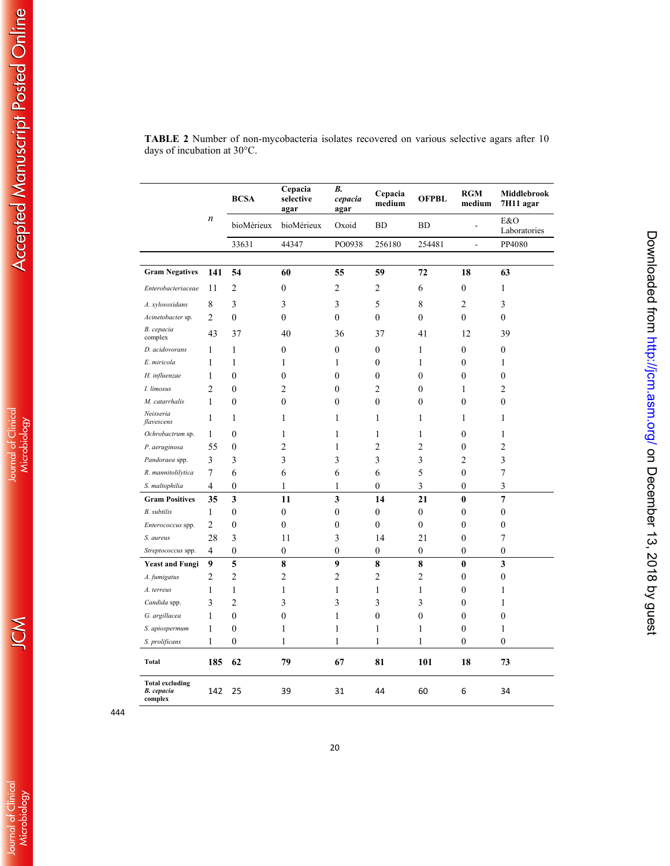|                                                        |                  | <b>BCSA</b>      | Cepacia<br>selective<br>agar | В.<br>cepacia<br>agar | Cepacia<br>medium | <b>OFPBL</b>     | <b>RGM</b><br>medium     | Middlebrook<br>7H11 agar |
|--------------------------------------------------------|------------------|------------------|------------------------------|-----------------------|-------------------|------------------|--------------------------|--------------------------|
|                                                        | $\boldsymbol{n}$ | bioMérieux       | bioMérieux                   | Oxoid                 | <b>BD</b>         | <b>BD</b>        | L,                       | E&O<br>Laboratories      |
|                                                        |                  | 33631            | 44347                        | PO0938                | 256180            | 254481           | $\overline{\phantom{a}}$ | PP4080                   |
|                                                        |                  |                  |                              |                       |                   |                  |                          |                          |
| <b>Gram Negatives</b>                                  | 141              | 54               | 60                           | 55                    | 59                | 72               | 18                       | 63                       |
| Enterobacteriaceae                                     | 11               | $\overline{2}$   | $\mathbf{0}$                 | $\overline{2}$        | 2                 | 6                | $\overline{0}$           | 1                        |
| A. xylosoxidans                                        | 8                | 3                | 3                            | 3                     | 5                 | 8                | 2                        | 3                        |
| Acinetobacter sp.                                      | 2                | $\mathbf{0}$     | $\mathbf{0}$                 | $\mathbf{0}$          | $\boldsymbol{0}$  | $\mathbf{0}$     | $\overline{0}$           | $\boldsymbol{0}$         |
| B. cepacia<br>complex                                  | 43               | 37               | 40                           | 36                    | 37                | 41               | 12                       | 39                       |
| D. acidovorans                                         | 1                | $\mathbf{1}$     | $\mathbf{0}$                 | $\mathbf{0}$          | $\mathbf{0}$      | 1                | $\boldsymbol{0}$         | $\boldsymbol{0}$         |
| E. miricola                                            | 1                | 1                | 1                            | 1                     | 0                 | 1                | 0                        | 1                        |
| H. influenzae                                          | 1                | $\mathbf{0}$     | $\theta$                     | $\boldsymbol{0}$      | $\mathbf{0}$      | $\theta$         | 0                        | $\mathbf{0}$             |
| I. limosus                                             | 2                | $\mathbf{0}$     | 2                            | $\boldsymbol{0}$      | 2                 | $\theta$         | 1                        | 2                        |
| M. catarrhalis                                         | $\mathbf{1}$     | $\theta$         | $\boldsymbol{0}$             | $\theta$              | $\theta$          | $\theta$         | $\theta$                 | $\theta$                 |
| Neisseria<br>flavescens                                | 1                | 1                | 1                            | 1                     | 1                 | 1                | 1                        | $\mathbf{1}$             |
| Ochrobactrum sp.                                       | 1                | 0                | 1                            | 1                     | 1                 | 1                | 0                        | 1                        |
| P. aeruginosa                                          | 55               | $\mathbf{0}$     | 2                            | 1                     | $\overline{2}$    | 2                | 0                        | $\overline{2}$           |
| Pandoraea spp.                                         | 3                | 3                | 3                            | 3                     | 3                 | 3                | $\overline{2}$           | 3                        |
| R. mannitolilytica                                     | 7                | 6                | 6                            | 6                     | 6                 | 5                | $\theta$                 | 7                        |
| S. maltophilia                                         | 4                | 0                | 1                            | 1                     | 0                 | 3                | 0                        | $\overline{\mathbf{3}}$  |
| <b>Gram Positives</b>                                  | 35               | 3                | 11                           | 3                     | 14                | 21               | $\bf{0}$                 | $\overline{7}$           |
| <b>B.</b> subtilis                                     | 1                | 0                | $\mathbf{0}$                 | $\mathbf{0}$          | $\boldsymbol{0}$  | $\mathbf{0}$     | 0                        | $\boldsymbol{0}$         |
| Enterococcus spp.                                      | $\overline{c}$   | $\mathbf{0}$     | $\mathbf{0}$                 | $\mathbf{0}$          | $\boldsymbol{0}$  | $\mathbf{0}$     | $\overline{0}$           | $\boldsymbol{0}$         |
| S. aureus                                              | 28               | 3                | 11                           | 3                     | 14                | 21               | 0                        | 7                        |
| Streptococcus spp.                                     | 4                | $\boldsymbol{0}$ | $\boldsymbol{0}$             | $\boldsymbol{0}$      | 0                 | $\boldsymbol{0}$ | $\boldsymbol{0}$         | 0                        |
| <b>Yeast and Fungi</b>                                 | 9                | 5                | 8                            | 9                     | 8                 | 8                | $\boldsymbol{0}$         | 3                        |
| A. fumigatus                                           | 2                | $\overline{c}$   | 2                            | 2                     | 2                 | $\overline{c}$   | 0                        | 0                        |
| A. terreus                                             | 1                | 1                | 1                            | 1                     | 1                 | 1                | 0                        | 1                        |
| Candida spp.                                           | 3                | $\overline{2}$   | 3                            | 3                     | 3                 | 3                | $\mathbf{0}$             | $\mathbf{1}$             |
| G. argillacea                                          | 1                | $\mathbf{0}$     | $\mathbf{0}$                 | 1                     | $\overline{0}$    | $\mathbf{0}$     | $\overline{0}$           | $\mathbf{0}$             |
| S. apiospermum                                         | 1                | $\boldsymbol{0}$ | 1                            | 1                     | $\mathbf{1}$      | $\mathbf{1}$     | $\boldsymbol{0}$         | $\mathbf{1}$             |
| S. prolificans                                         | 1                | $\boldsymbol{0}$ | 1                            | 1                     | 1                 | 1                | 0                        | $\boldsymbol{0}$         |
| Total                                                  | 185              | 62               | 79                           | 67                    | 81                | 101              | 18                       | 73                       |
| <b>Total excluding</b><br><b>B.</b> cepacia<br>complex | 142              | 25               | 39                           | 31                    | 44                | 60               | 6                        | 34                       |

Downloaded from http://jcm.asm.org/ on December 13, 2018 by guest

**TABLE 2** Number of non-mycobacteria isolates recovered on various selective agars after 10 days of incubation at 30°C.

JCM

Journal of Clinical<br>Microbiology

444

Journal of Clinical<br>Microbiology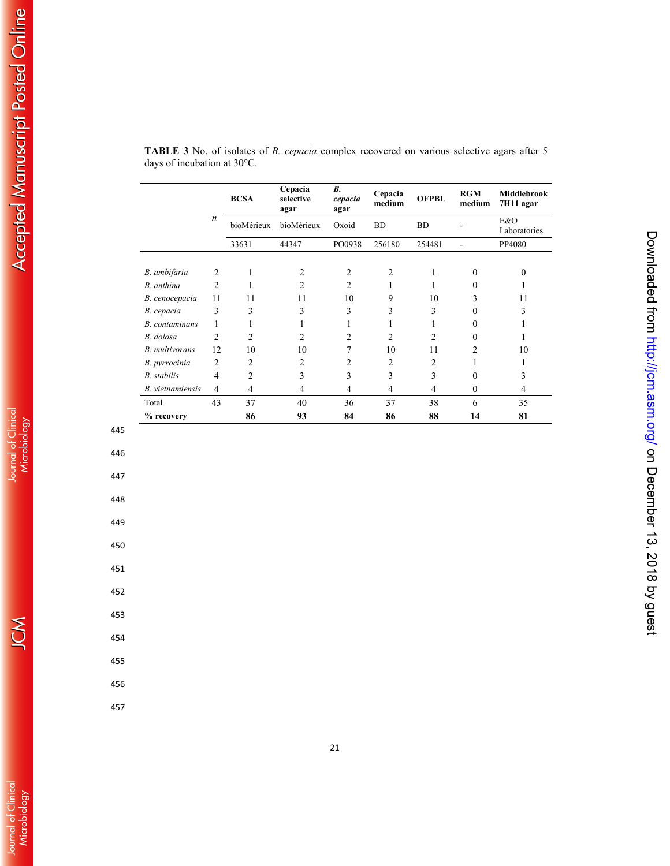|                         |                  | <b>BCSA</b>    | Cepacia<br>selective<br>agar | В.<br>cepacia<br>agar | Cepacia<br>medium | <b>OFPBL</b> | <b>RGM</b><br>medium | <b>Middlebrook</b><br>7H11 agar |
|-------------------------|------------------|----------------|------------------------------|-----------------------|-------------------|--------------|----------------------|---------------------------------|
|                         | $\boldsymbol{n}$ | bioMérieux     | bioMérieux                   | Oxoid                 | <b>BD</b>         | <b>BD</b>    |                      | E&O<br>Laboratories             |
|                         |                  | 33631          | 44347                        | PO0938                | 256180            | 254481       |                      | PP4080                          |
|                         |                  |                |                              |                       |                   |              |                      |                                 |
| B. ambifaria            | $\overline{2}$   |                | $\overline{c}$               | $\overline{2}$        | 2                 | 1            | $\theta$             | $\Omega$                        |
| B. anthina              | $\overline{2}$   |                | $\mathfrak{D}$               | 2                     |                   |              | $\theta$             |                                 |
| B. cenocepacia          | 11               | 11             | 11                           | 10                    | 9                 | 10           | 3                    | 11                              |
| B. cepacia              | 3                | 3              | 3                            | 3                     | 3                 | 3            | 0                    | 3                               |
| <b>B.</b> contaminans   | 1                |                |                              | 1                     |                   | 1            | $\theta$             |                                 |
| B. dolosa               | $\overline{c}$   | 2              | $\overline{c}$               | $\overline{c}$        | $\overline{c}$    | 2            | 0                    |                                 |
| <b>B.</b> multivorans   | 12               | 10             | 10                           | 7                     | 10                | 11           | 2                    | 10                              |
| B. pyrrocinia           | $\overline{2}$   | 2              | 2                            | 2                     | 2                 | 2            |                      |                                 |
| <b>B.</b> stabilis      | $\overline{4}$   | $\overline{2}$ | 3                            | 3                     | 3                 | 3            | $\theta$             | 3                               |
| <i>B.</i> vietnamiensis | 4                | 4              | 4                            | 4                     | 4                 | 4            | $\theta$             | 4                               |
| Total                   | 43               | 37             | 40                           | 36                    | 37                | 38           | 6                    | 35                              |
| % recovery              |                  | 86             | 93                           | 84                    | 86                | 88           | 14                   | 81                              |

Downloaded from http://jcm.asm.org/ on December 13, 2018 by guest

| <b>TABLE 3</b> No. of isolates of <i>B. cepacia</i> complex recovered on various selective agars after 5 |  |  |  |  |
|----------------------------------------------------------------------------------------------------------|--|--|--|--|
| days of incubation at $30^{\circ}$ C.                                                                    |  |  |  |  |

**Accepted Manuscript Posted Online** 

454

455

445

446

447

448

449

450

451

452

453

456

457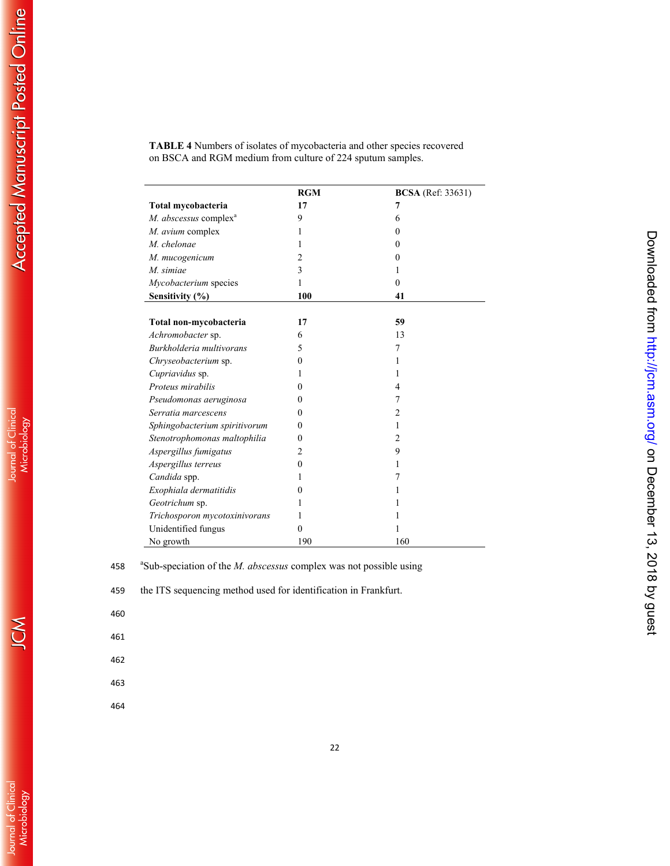|                                   | <b>RGM</b> | <b>BCSA</b> (Ref: 33631) |
|-----------------------------------|------------|--------------------------|
| Total mycobacteria                | 17         | 7                        |
| M. abscessus complex <sup>a</sup> | 9          | 6                        |
| M. avium complex                  | 1          | 0                        |
| M. chelonae                       |            | $\Omega$                 |
| M. mucogenicum                    | 2          | $\Omega$                 |
| M. simiae                         | 3          | 1                        |
| Mycobacterium species             | 1          | $\theta$                 |
| Sensitivity (%)                   | 100        | 41                       |
|                                   |            |                          |
| Total non-mycobacteria            | 17         | 59                       |
| Achromobacter sp.                 | 6          | 13                       |
| Burkholderia multivorans          | 5          | 7                        |
| Chryseobacterium sp.              | 0          | 1                        |
| Cupriavidus sp.                   |            | 1                        |
| Proteus mirabilis                 | $\theta$   | 4                        |
| Pseudomonas aeruginosa            | $\theta$   | 7                        |
| Serratia marcescens               | $\theta$   | 2                        |
| Sphingobacterium spiritivorum     | $\theta$   | 1                        |
| Stenotrophomonas maltophilia      | 0          | 2                        |
| Aspergillus fumigatus             | 2          | 9                        |
| Aspergillus terreus               | $\theta$   | 1                        |
| Candida spp.                      | ı          | 7                        |
| Exophiala dermatitidis            | 0          | 1                        |
| Geotrichum sp.                    |            |                          |
| Trichosporon mycotoxinivorans     |            |                          |
| Unidentified fungus               | 0          |                          |
| No growth                         | 190        | 160                      |

Downloaded from http://jcm.asm.org/ on December 13, 2018 by guest

**TABLE 4** Numbers of isolates of mycobacteria and other species recovered on BSCA and RGM medium from culture of 224 sputum samples.

458 <sup>a</sup> Sub-speciation of the *M. abscessus* complex was not possible using

459 the ITS sequencing method used for identification in Frankfurt.

460

461

462

463

464